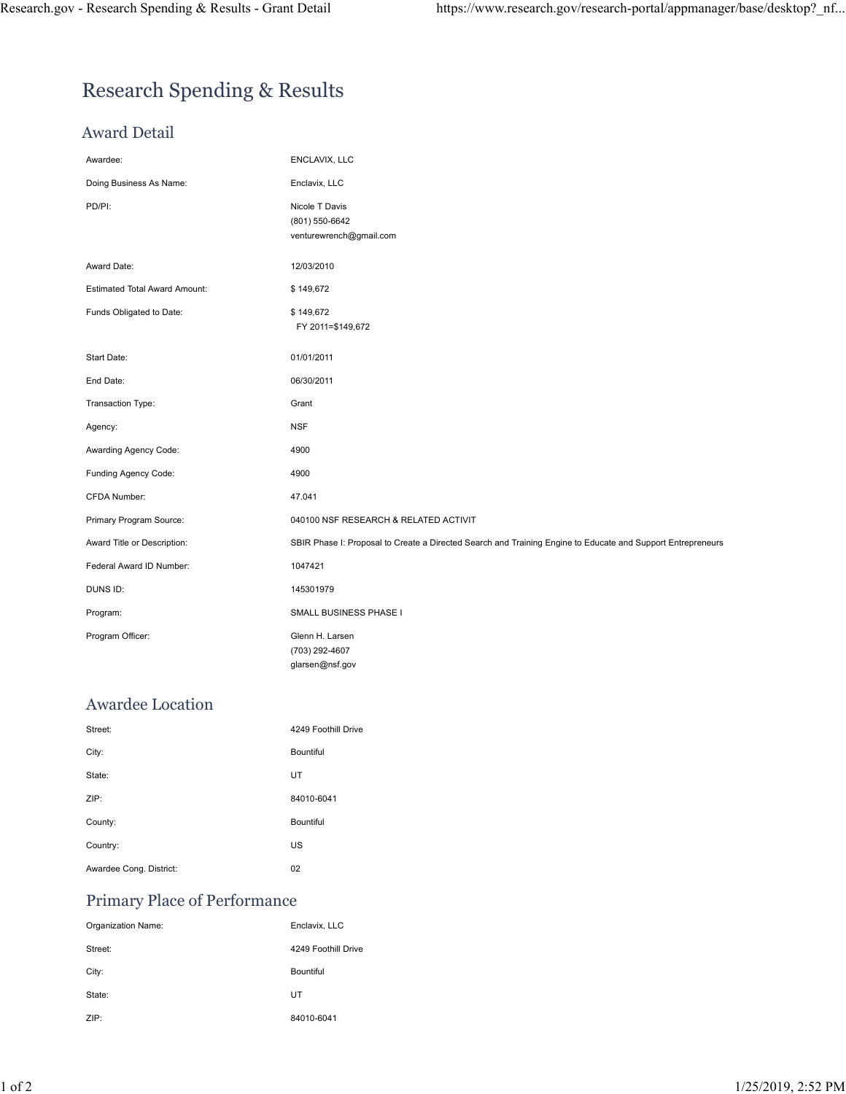# Research Spending & Results

### Award Detail

| Research Spending & Results - Grant Detail | https://www.research.gov/research-portal/appmanager/base/desktop?_nf                                        |
|--------------------------------------------|-------------------------------------------------------------------------------------------------------------|
|                                            |                                                                                                             |
|                                            |                                                                                                             |
| <b>Research Spending &amp; Results</b>     |                                                                                                             |
|                                            |                                                                                                             |
| <b>Award Detail</b>                        |                                                                                                             |
| Awardee:                                   | ENCLAVIX, LLC                                                                                               |
| Doing Business As Name:                    | Enclavix, LLC                                                                                               |
| PD/PI:                                     | Nicole T Davis<br>(801) 550-6642<br>venturewrench@gmail.com                                                 |
| Award Date:                                | 12/03/2010                                                                                                  |
| <b>Estimated Total Award Amount:</b>       | \$149,672                                                                                                   |
| Funds Obligated to Date:                   | \$149,672<br>FY 2011=\$149,672                                                                              |
| Start Date:                                | 01/01/2011                                                                                                  |
| End Date:                                  | 06/30/2011                                                                                                  |
| Transaction Type:                          | Grant                                                                                                       |
| Agency:                                    | <b>NSF</b>                                                                                                  |
| Awarding Agency Code:                      | 4900                                                                                                        |
| Funding Agency Code:                       | 4900                                                                                                        |
| CFDA Number:                               | 47.041                                                                                                      |
| Primary Program Source:                    | 040100 NSF RESEARCH & RELATED ACTIVIT                                                                       |
| Award Title or Description:                | SBIR Phase I: Proposal to Create a Directed Search and Training Engine to Educate and Support Entrepreneurs |
| Federal Award ID Number:                   | 1047421                                                                                                     |
| DUNS ID:                                   | 145301979                                                                                                   |
| Program:                                   | SMALL BUSINESS PHASE I                                                                                      |
| Program Officer:                           | Glenn H. Larsen<br>(703) 292-4607<br>glarsen@nsf.gov                                                        |
| Awardee Location                           |                                                                                                             |
| Street:                                    | 4249 Foothill Drive                                                                                         |
| City:                                      | Bountiful                                                                                                   |
| State:                                     | UT                                                                                                          |
| ZIP:                                       | 84010-6041                                                                                                  |
| County:                                    | Bountiful                                                                                                   |
| Country:                                   | US                                                                                                          |
| Awardee Cong. District:                    | 02                                                                                                          |
| Primary Place of Performance               |                                                                                                             |
| Organization Name:                         | Enclavix, LLC                                                                                               |
| Street:                                    | 4249 Foothill Drive                                                                                         |
| City:                                      | Bountiful                                                                                                   |
| State:                                     | UT                                                                                                          |
| ZIP:                                       | 84010-6041                                                                                                  |
|                                            |                                                                                                             |

### Awardee Location

| Program Officer:             | Glenn H. Larsen     |              |
|------------------------------|---------------------|--------------|
|                              | (703) 292-4607      |              |
|                              | glarsen@nsf.gov     |              |
|                              |                     |              |
| <b>Awardee Location</b>      |                     |              |
| Street:                      | 4249 Foothill Drive |              |
| City:                        | Bountiful           |              |
| State:                       | UT                  |              |
| ZIP:                         | 84010-6041          |              |
| County:                      | Bountiful           |              |
| Country:                     | US                  |              |
| Awardee Cong. District:      | 02                  |              |
| Primary Place of Performance |                     |              |
| Organization Name:           | Enclavix, LLC       |              |
| Street:                      | 4249 Foothill Drive |              |
| City:                        | Bountiful           |              |
| State:                       | UT                  |              |
| ZIP:                         | 84010-6041          |              |
|                              |                     |              |
|                              |                     |              |
|                              |                     | $\mathbf{1}$ |
|                              |                     |              |

### Primary Place of Performance

| Organization Name: | Enclavix, LLC       |
|--------------------|---------------------|
| Street:            | 4249 Foothill Drive |
| City:              | <b>Bountiful</b>    |
| State:             | UT                  |
| ZIP:               | 84010-6041          |